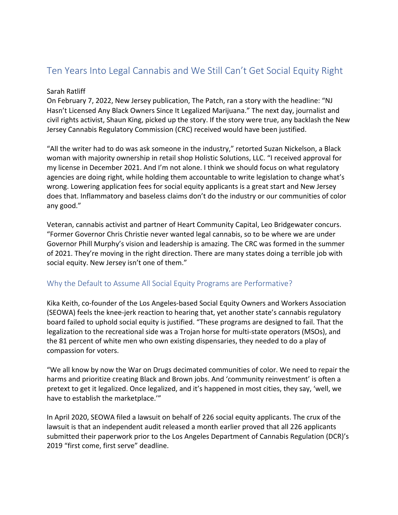## Ten Years Into Legal Cannabis and We Still Can't Get Social Equity Right

## Sarah Ratliff

On February 7, 2022, New Jersey publication, The Patch, ran a story with the headline: "NJ Hasn't Licensed Any Black Owners Since It Legalized Marijuana." The next day, journalist and civil rights activist, Shaun King, picked up the story. If the story were true, any backlash the New Jersey Cannabis Regulatory Commission (CRC) received would have been justified.

"All the writer had to do was ask someone in the industry," retorted Suzan Nickelson, a Black woman with majority ownership in retail shop Holistic Solutions, LLC. "I received approval for my license in December 2021. And I'm not alone. I think we should focus on what regulatory agencies are doing right, while holding them accountable to write legislation to change what's wrong. Lowering application fees for social equity applicants is a great start and New Jersey does that. Inflammatory and baseless claims don't do the industry or our communities of color any good."

Veteran, cannabis activist and partner of Heart Community Capital, Leo Bridgewater concurs. "Former Governor Chris Christie never wanted legal cannabis, so to be where we are under Governor Phill Murphy's vision and leadership is amazing. The CRC was formed in the summer of 2021. They're moving in the right direction. There are many states doing a terrible job with social equity. New Jersey isn't one of them."

## Why the Default to Assume All Social Equity Programs are Performative?

Kika Keith, co-founder of the Los Angeles-based Social Equity Owners and Workers Association (SEOWA) feels the knee-jerk reaction to hearing that, yet another state's cannabis regulatory board failed to uphold social equity is justified. "These programs are designed to fail. That the legalization to the recreational side was a Trojan horse for multi-state operators (MSOs), and the 81 percent of white men who own existing dispensaries, they needed to do a play of compassion for voters.

"We all know by now the War on Drugs decimated communities of color. We need to repair the harms and prioritize creating Black and Brown jobs. And 'community reinvestment' is often a pretext to get it legalized. Once legalized, and it's happened in most cities, they say, 'well, we have to establish the marketplace.'"

In April 2020, SEOWA filed a lawsuit on behalf of 226 social equity applicants. The crux of the lawsuit is that an independent audit released a month earlier proved that all 226 applicants submitted their paperwork prior to the Los Angeles Department of Cannabis Regulation (DCR)'s 2019 "first come, first serve" deadline.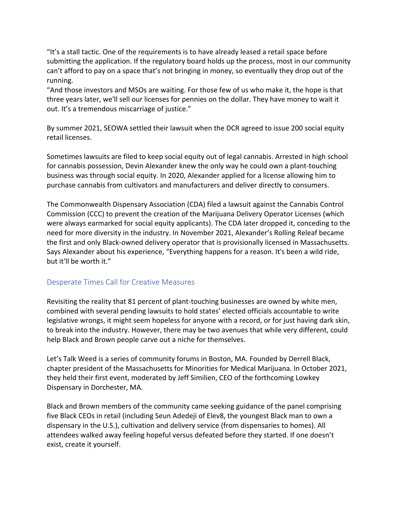"It's a stall tactic. One of the requirements is to have already leased a retail space before submitting the application. If the regulatory board holds up the process, most in our community can't afford to pay on a space that's not bringing in money, so eventually they drop out of the running.

"And those investors and MSOs are waiting. For those few of us who make it, the hope is that three years later, we'll sell our licenses for pennies on the dollar. They have money to wait it out. It's a tremendous miscarriage of justice."

By summer 2021, SEOWA settled their lawsuit when the DCR agreed to issue 200 social equity retail licenses.

Sometimes lawsuits are filed to keep social equity out of legal cannabis. Arrested in high school for cannabis possession, Devin Alexander knew the only way he could own a plant-touching business was through social equity. In 2020, Alexander applied for a license allowing him to purchase cannabis from cultivators and manufacturers and deliver directly to consumers.

The Commonwealth Dispensary Association (CDA) filed a lawsuit against the Cannabis Control Commission (CCC) to prevent the creation of the Marijuana Delivery Operator Licenses (which were always earmarked for social equity applicants). The CDA later dropped it, conceding to the need for more diversity in the industry. In November 2021, Alexander's Rolling Releaf became the first and only Black-owned delivery operator that is provisionally licensed in Massachusetts. Says Alexander about his experience, "Everything happens for a reason. It's been a wild ride, but it'll be worth it."

## Desperate Times Call for Creative Measures

Revisiting the reality that 81 percent of plant-touching businesses are owned by white men, combined with several pending lawsuits to hold states' elected officials accountable to write legislative wrongs, it might seem hopeless for anyone with a record, or for just having dark skin, to break into the industry. However, there may be two avenues that while very different, could help Black and Brown people carve out a niche for themselves.

Let's Talk Weed is a series of community forums in Boston, MA. Founded by Derrell Black, chapter president of the Massachusetts for Minorities for Medical Marijuana. In October 2021, they held their first event, moderated by Jeff Similien, CEO of the forthcoming Lowkey Dispensary in Dorchester, MA.

Black and Brown members of the community came seeking guidance of the panel comprising five Black CEOs in retail (including Seun Adedeji of Elev8, the youngest Black man to own a dispensary in the U.S.), cultivation and delivery service (from dispensaries to homes). All attendees walked away feeling hopeful versus defeated before they started. If one doesn't exist, create it yourself.